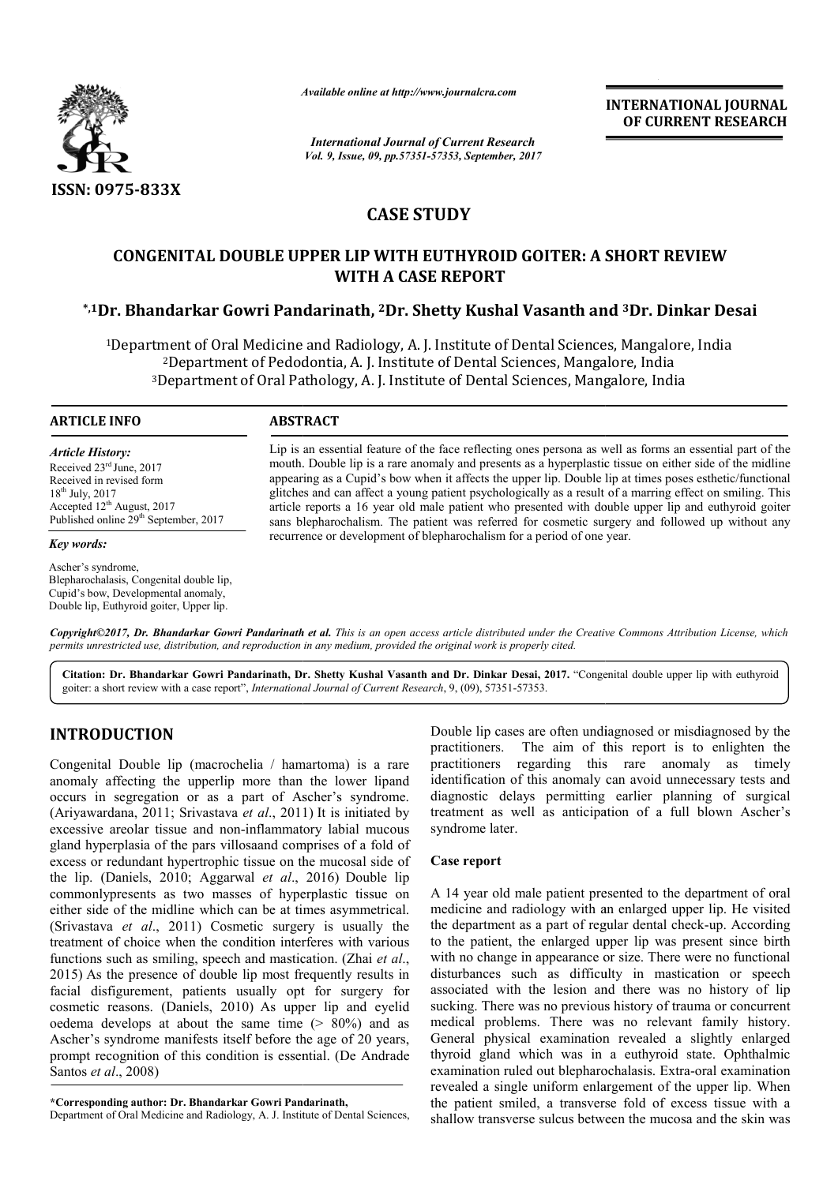

*Available online at http://www.journal http://www.journalcra.com*

*International Journal of Current Research Vol. 9, Issue, 09, pp.57351-57353, September, 2017* **INTERNATIONAL JOURNAL OF CURRENT RESEARCH** 

# **CASE STUDY**

# **CONGENITAL DOUBLE UPPER LIP WITH EUTHYROID GOITER: A SHORT REVIEW \*,1Dr. Bhandarkar Gowri Pandarinath r. Pandarinath, 2Dr. Shetty Kushal Vasanth and CONGENITAL DOUBLE UPPER EUTHYROID GOITER: A Kushal Vasanth 3Dr. Dinkar Desai WITH A CASE REPORT**

<sup>1</sup>Department of Oral Medicine and Radiology, A. J. Institute of Dental Sciences, Mangalore, India 2Department of Pedodontia, A. J. Institute of Dental Sciences, Mangalore Mangalore, India <sup>2</sup>Department of Pedodontia, A. J. Institute of Dental Sciences, Mangalore, India<br><sup>3</sup>Department of Oral Pathology, A. J. Institute of Dental Sciences, Mangalore, India

### **ARTICLE INFO ABSTRACT**

*Article History:* Received 23rd June, 2017 Received in revised form 18th July, 2017 Accepted 12<sup>th</sup> August, 2017 Published online 29<sup>th</sup> September, 2017

# *Key words:*

Ascher's syndrome, Blepharochalasis, Congenital double lip, Cupid's bow, Developmental anomaly, Double lip, Euthyroid goiter, Upper lip.

Lip is an essential feature of the face reflecting ones persona as well as forms an essential part of the mouth. Double lip is a rare anomaly and presents as a hyperplastic tissue on either side of the midline appearing as a Cupid's bow when it affects the upper lip. Double lip at times poses esthetic/functional glitches and can affect a young patient psychologically as a result of a marring effect on smilin article reports a 16 year old male patient who presented with double upper lip and euthyroid goiter sans blepharochalism. The patient was referred for cosmetic surgery and followed up without any recurrence or development of blepharochalism for a period of one year. Lip is an essential feature of the face reflecting ones persona as well as forms an essential part of the mouth. Double lip is a rare anomaly and presents as a hyperplastic tissue on either side of the midline appearing as article reports a 16 year old male patient who presented with double upper lip and euthyroid g<br>sans blepharochalism. The patient was referred for cosmetic surgery and followed up without<br>recurrence or development of blepha

*Copyright©2017, Dr. Bhandarkar Gowri Pandarinath et al. This is an open access article distributed under the Creative Commons Att Commons Attribution License, which permits unrestricted use, distribution, and reproduction in any medium, provided the original work is properly cited.*

Citation: Dr. Bhandarkar Gowri Pandarinath, Dr. Shetty Kushal Vasanth and Dr. Dinkar Desai, 2017. "Congenital double upper lip with euthyroid goiter: a short review with a case report", *International Journal of Current Research*, 9, (09), 57351-57353.

# **INTRODUCTION**

Congenital Double lip (macrochelia / hamartoma) is a rare anomaly affecting the upperlip more than the lower lipand occurs in segregation or as a part of Ascher's syndrome. (Ariyawardana, 2011; Srivastava *et al*., 2011) It is initiated by excessive areolar tissue and non-inflammatory labial mucous gland hyperplasia of the pars villosaand comprises of a fold of excess or redundant hypertrophic tissue on the mucosal side of the lip. (Daniels, 2010; Aggarwal *et al*., 2016) Double lip commonlypresents as two masses of hyperplastic tissue on either side of the midline which can be at times asymmetrical. (Srivastava *et al*., 2011) Cosmetic surgery is usually the treatment of choice when the condition interferes with various functions such as smiling, speech and mastication. (Zhai *et al*., 2015) As the presence of double lip most frequently results i in facial disfigurement, patients usually opt for surgery for cosmetic reasons. (Daniels, 2010) As upper lip and eyelid oedema develops at about the same time (> 80%) and as Ascher's syndrome manifests itself before the age of 20 years, prompt recognition of this condition is essential. (De Andrade Santos *et al*., 2008)

**\*Corresponding author: Dr. Bhandarkar Gowri Pandarinath,**

Department of Oral Medicine and Radiology, A. J. Institute of Dental Sciences,

Double lip cases are often undiagnosed or misdiagnosed by the practitioners. The aim of this report is to enlighten the The aim of this report is to enlighten the practitioners regarding this rare anomaly as timely identification of this anomaly can avoid unnecessary tests and diagnostic delays permitting earlier planning of surgical treatment as well as anticipation of a full blown Ascher's syndrome later. Double lip cases are often undiagnosed or misdiagnosed by the practitioners. The aim of this report is to enlighten the practitioners regarding this rare anomaly as timely identification of this anomaly can avoid unnecessa

# **Case report**

A 14 year old male patient presented to the department of oral medicine and radiology with an enlarged upper lip. He visited A 14 year old male patient presented to the department of oral medicine and radiology with an enlarged upper lip. He visited the department as a part of regular dental check-up. According to the patient, the enlarged upper lip was present since birth with no change in appearance or size. There were no functional disturbances such as difficulty in mastication or speech associated with the lesion and there was no history of lip sucking. There was no previous history of trauma or concurrent medical problems. There was no relevant family history. General physical examination revealed a slightly enlarged thyroid gland which was in a euthyroid state. Ophthalmic examination ruled out blepharochalasis. revealed a single uniform enlargement of the upper lip. When the patient smiled, a transverse fold of excess tissue with a the patient smiled, a transverse fold of excess tissue with a shallow transverse sulcus between the mucosa and the skin was to the patient, the enlarged upper lip was present since birth with no change in appearance or size. There were no functional disturbances such as difficulty in mastication or speech associated with the lesion and there wa problems. There was no relevant family history.<br>physical examination revealed a slightly enlarged<br>gland which was in a euthyroid state. Ophthalmic<br>ion ruled out blepharochalasis. Extra-oral examination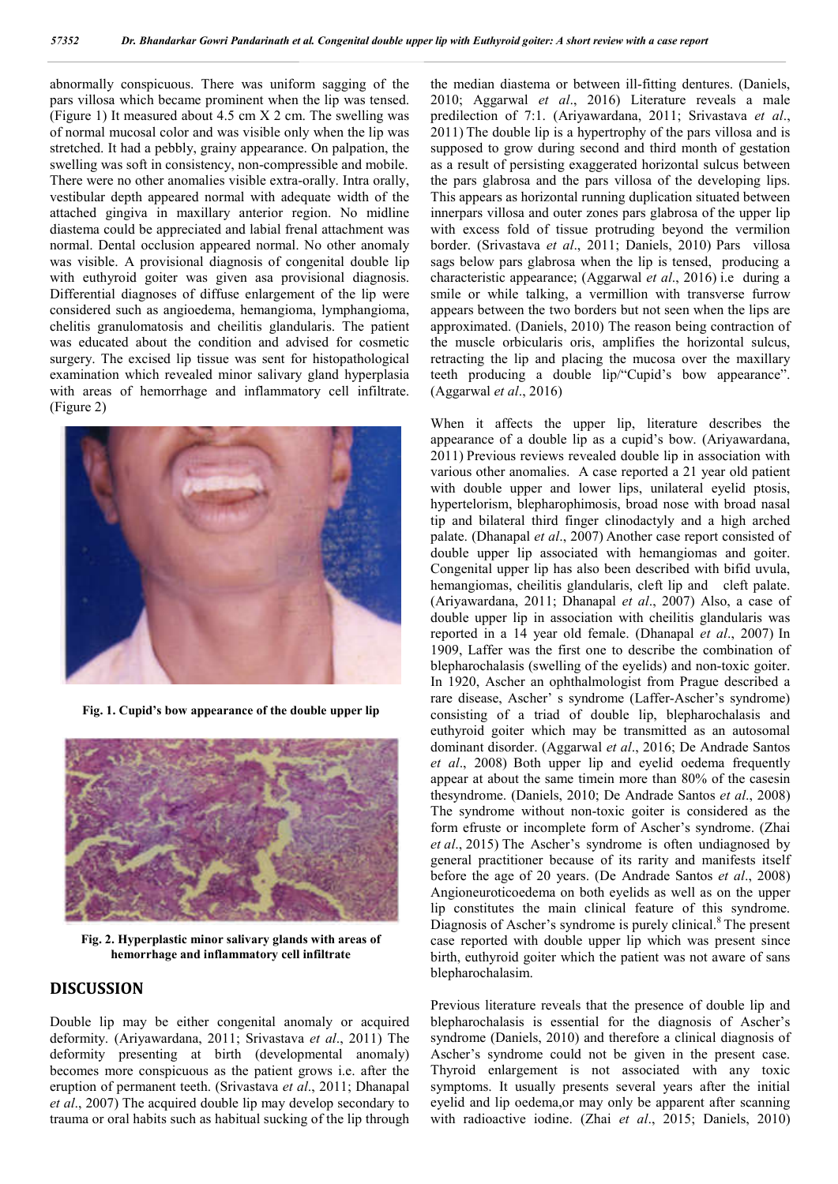abnormally conspicuous. There was uniform sagging of the pars villosa which became prominent when the lip was tensed. (Figure 1) It measured about 4.5 cm X 2 cm. The swelling was of normal mucosal color and was visible only when the lip was stretched. It had a pebbly, grainy appearance. On palpation, the swelling was soft in consistency, non-compressible and mobile. There were no other anomalies visible extra-orally. Intra orally, vestibular depth appeared normal with adequate width of the attached gingiva in maxillary anterior region. No midline diastema could be appreciated and labial frenal attachment was normal. Dental occlusion appeared normal. No other anomaly was visible. A provisional diagnosis of congenital double lip with euthyroid goiter was given asa provisional diagnosis. Differential diagnoses of diffuse enlargement of the lip were considered such as angioedema, hemangioma, lymphangioma, chelitis granulomatosis and cheilitis glandularis. The patient was educated about the condition and advised for cosmetic surgery. The excised lip tissue was sent for histopathological examination which revealed minor salivary gland hyperplasia with areas of hemorrhage and inflammatory cell infiltrate. (Figure 2)



**Fig. 1. Cupid's bow appearance of the double upper lip**



**Fig. 2. Hyperplastic minor salivary glands with areas of hemorrhage and inflammatory cell infiltrate**

# **DISCUSSION**

Double lip may be either congenital anomaly or acquired deformity. (Ariyawardana, 2011; Srivastava *et al*., 2011) The deformity presenting at birth (developmental anomaly) becomes more conspicuous as the patient grows i.e. after the eruption of permanent teeth. (Srivastava *et al*., 2011; Dhanapal *et al*., 2007) The acquired double lip may develop secondary to trauma or oral habits such as habitual sucking of the lip through

the median diastema or between ill-fitting dentures. (Daniels, 2010; Aggarwal *et al*., 2016) Literature reveals a male predilection of 7:1. (Ariyawardana, 2011; Srivastava *et al*., 2011) The double lip is a hypertrophy of the pars villosa and is supposed to grow during second and third month of gestation as a result of persisting exaggerated horizontal sulcus between the pars glabrosa and the pars villosa of the developing lips. This appears as horizontal running duplication situated between innerpars villosa and outer zones pars glabrosa of the upper lip with excess fold of tissue protruding beyond the vermilion border. (Srivastava *et al*., 2011; Daniels, 2010) Pars villosa sags below pars glabrosa when the lip is tensed, producing a characteristic appearance; (Aggarwal *et al*., 2016) i.e during a smile or while talking, a vermillion with transverse furrow appears between the two borders but not seen when the lips are approximated. (Daniels, 2010) The reason being contraction of the muscle orbicularis oris, amplifies the horizontal sulcus, retracting the lip and placing the mucosa over the maxillary teeth producing a double lip/"Cupid's bow appearance". (Aggarwal *et al*., 2016)

When it affects the upper lip, literature describes the appearance of a double lip as a cupid's bow. (Ariyawardana, 2011) Previous reviews revealed double lip in association with various other anomalies. A case reported a 21 year old patient with double upper and lower lips, unilateral eyelid ptosis, hypertelorism, blepharophimosis, broad nose with broad nasal tip and bilateral third finger clinodactyly and a high arched palate. (Dhanapal *et al*., 2007) Another case report consisted of double upper lip associated with hemangiomas and goiter. Congenital upper lip has also been described with bifid uvula, hemangiomas, cheilitis glandularis, cleft lip and cleft palate. (Ariyawardana, 2011; Dhanapal *et al*., 2007) Also, a case of double upper lip in association with cheilitis glandularis was reported in a 14 year old female. (Dhanapal *et al*., 2007) In 1909, Laffer was the first one to describe the combination of blepharochalasis (swelling of the eyelids) and non-toxic goiter. In 1920, Ascher an ophthalmologist from Prague described a rare disease, Ascher' s syndrome (Laffer-Ascher's syndrome) consisting of a triad of double lip, blepharochalasis and euthyroid goiter which may be transmitted as an autosomal dominant disorder. (Aggarwal *et al*., 2016; De Andrade Santos *et al*., 2008) Both upper lip and eyelid oedema frequently appear at about the same timein more than 80% of the casesin thesyndrome. (Daniels, 2010; De Andrade Santos *et al*., 2008) The syndrome without non-toxic goiter is considered as the form efruste or incomplete form of Ascher's syndrome. (Zhai *et al*., 2015) The Ascher's syndrome is often undiagnosed by general practitioner because of its rarity and manifests itself before the age of 20 years. (De Andrade Santos *et al*., 2008) Angioneuroticoedema on both eyelids as well as on the upper lip constitutes the main clinical feature of this syndrome. Diagnosis of Ascher's syndrome is purely clinical.<sup>8</sup> The present case reported with double upper lip which was present since birth, euthyroid goiter which the patient was not aware of sans blepharochalasim.

Previous literature reveals that the presence of double lip and blepharochalasis is essential for the diagnosis of Ascher's syndrome (Daniels, 2010) and therefore a clinical diagnosis of Ascher's syndrome could not be given in the present case. Thyroid enlargement is not associated with any toxic symptoms. It usually presents several years after the initial eyelid and lip oedema,or may only be apparent after scanning with radioactive iodine. (Zhai *et al*., 2015; Daniels, 2010)